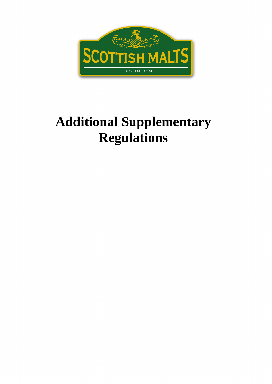# **Additional Supplementary Regulations**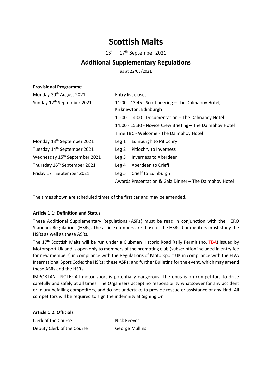## Scottish Malts

13th – 17th September 2021

### Additional Supplementary Regulations

as at 22/03/2021

| Monday 30 <sup>th</sup> August 2021       | Entry list closes                                                            |
|-------------------------------------------|------------------------------------------------------------------------------|
| Sunday 12 <sup>th</sup> September 2021    | 11:00 - 13:45 - Scrutineering - The Dalmahoy Hotel,<br>Kirknewton, Edinburgh |
|                                           | 11:00 - 14:00 - Documentation - The Dalmahoy Hotel                           |
|                                           | 14:00 - 15:30 - Novice Crew Briefing - The Dalmahoy Hotel                    |
|                                           | Time TBC - Welcome - The Dalmahoy Hotel                                      |
| Monday 13 <sup>th</sup> September 2021    | Edinburgh to Pitlochry<br>Leg 1                                              |
| Tuesday 14 <sup>th</sup> September 2021   | Pitlochry to Inverness<br>Leg 2                                              |
| Wednesday 15 <sup>th</sup> September 2021 | Inverness to Aberdeen<br>Leg <sub>3</sub>                                    |
| Thursday 16 <sup>th</sup> September 2021  | Aberdeen to Crieff<br>Leg <sub>4</sub>                                       |
| Friday 17 <sup>th</sup> September 2021    | Crieff to Edinburgh<br>Leg 5                                                 |
|                                           | Awards Presentation & Gala Dinner - The Dalmahoy Hotel                       |

The times shown are scheduled times of the first car and may be amended.

#### Article 1.1: Definition and Status

Provisional Programme

These Additional Supplementary Regulations (ASRs) must be read in conjunction with the HERO Standard Regulations (HSRs). The article numbers are those of the HSRs. Competitors must study the HSRs as well as these ASRs.

The 17<sup>th</sup> Scottish Malts will be run under a Clubman Historic Road Rally Permit (no. TBA) issued by Motorsport UK and is open only to members of the promoting club (subscription included in entry fee for new members) in compliance with the Regulations of Motorsport UK in compliance with the FIVA International Sport Code; the HSRs ; these ASRs; and further Bulletins for the event, which may amend these ASRs and the HSRs.

IMPORTANT NOTE: All motor sport is potentially dangerous. The onus is on competitors to drive carefully and safely at all times. The Organisers accept no responsibility whatsoever for any accident or injury befalling competitors, and do not undertake to provide rescue or assistance of any kind. All competitors will be required to sign the indemnity at Signing On.

Article 1.2: Officials Clerk of the Course Nick Reeves Deputy Clerk of the Course George Mullins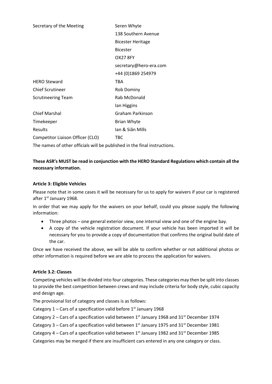| Seren Whyte              |
|--------------------------|
| 138 Southern Avenue      |
| <b>Bicester Heritage</b> |
| <b>Bicester</b>          |
| <b>OX27 8FY</b>          |
| secretary@hero-era.com   |
| +44 (0)1869 254979       |
| <b>TBA</b>               |
| <b>Rob Dominy</b>        |
| Rab McDonald             |
| lan Higgins              |
| Graham Parkinson         |
| Brian Whyte              |
| Ian & Siân Mills         |
| TBC                      |
|                          |

The names of other officials will be published in the final instructions.

#### These ASR's MUST be read in conjunction with the HERO Standard Regulations which contain all the necessary information.

#### Article 3: Eligible Vehicles

Please note that in some cases it will be necessary for us to apply for waivers if your car is registered after 1<sup>st</sup> January 1968.

In order that we may apply for the waivers on your behalf, could you please supply the following information:

- Three photos one general exterior view, one internal view and one of the engine bay.
- A copy of the vehicle registration document. If your vehicle has been imported it will be necessary for you to provide a copy of documentation that confirms the original build date of the car.

Once we have received the above, we will be able to confirm whether or not additional photos or other information is required before we are able to process the application for waivers.

#### Article 3.2: Classes

Competing vehicles will be divided into four categories. These categories may then be split into classes to provide the best competition between crews and may include criteria for body style, cubic capacity and design age.

The provisional list of category and classes is as follows:

Category  $1$  – Cars of a specification valid before  $1<sup>st</sup>$  January 1968

Category 2 – Cars of a specification valid between  $1^{st}$  January 1968 and 31 $^{st}$  December 1974

Category  $3$  – Cars of a specification valid between  $1^{st}$  January 1975 and 31 $st$  December 1981

Category 4 – Cars of a specification valid between  $1^{st}$  January 1982 and 31 $^{st}$  December 1985

Categories may be merged if there are insufficient cars entered in any one category or class.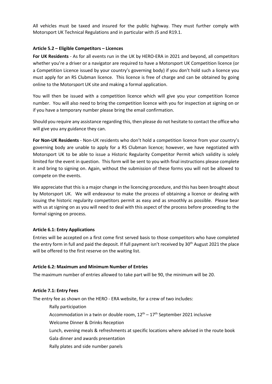All vehicles must be taxed and insured for the public highway. They must further comply with Motorsport UK Technical Regulations and in particular with J5 and R19.1.

#### Article 5.2 – Eligible Competitors – Licences

For UK Residents - As for all events run in the UK by HERO-ERA in 2021 and beyond, all competitors whether you're a driver or a navigator are required to have a Motorsport UK Competition licence (or a Competition Licence issued by your country's governing body) if you don't hold such a licence you must apply for an RS Clubman licence. This licence is free of charge and can be obtained by going online to the Motorsport UK site and making a formal application.

You will then be issued with a competition licence which will give you your competition licence number. You will also need to bring the competition licence with you for inspection at signing on or if you have a temporary number please bring the email confirmation.

Should you require any assistance regarding this, then please do not hesitate to contact the office who will give you any guidance they can.

For Non-UK Residents - Non-UK residents who don't hold a competition licence from your country's governing body are unable to apply for a RS Clubman licence; however, we have negotiated with Motorsport UK to be able to issue a Historic Regularity Competitor Permit which validity is solely limited for the event in question. This form will be sent to you with final instructions please complete it and bring to signing on. Again, without the submission of these forms you will not be allowed to compete on the events.

We appreciate that this is a major change in the licencing procedure, and this has been brought about by Motorsport UK. We will endeavour to make the process of obtaining a licence or dealing with issuing the historic regularity competitors permit as easy and as smoothly as possible. Please bear with us at signing on as you will need to deal with this aspect of the process before proceeding to the formal signing on process.

#### Article 6.1: Entry Applications

Entries will be accepted on a first come first served basis to those competitors who have completed the entry form in full and paid the deposit. If full payment isn't received by 30<sup>th</sup> August 2021 the place will be offered to the first reserve on the waiting list.

#### Article 6.2: Maximum and Minimum Number of Entries

The maximum number of entries allowed to take part will be 90, the minimum will be 20.

#### Article 7.1: Entry Fees

The entry fee as shown on the HERO - ERA website, for a crew of two includes:

- Rally participation
- Accommodation in a twin or double room,  $12<sup>th</sup> 17<sup>th</sup>$  September 2021 inclusive
- Welcome Dinner & Drinks Reception
- Lunch, evening meals & refreshments at specific locations where advised in the route book
- Gala dinner and awards presentation
- Rally plates and side number panels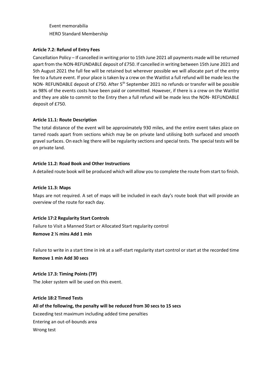Event memorabilia HERO Standard Membership

#### Article 7.2: Refund of Entry Fees

Cancellation Policy – If cancelled in writing prior to 15th June 2021 all payments made will be returned apart from the NON-REFUNDABLE deposit of £750. If cancelled in writing between 15th June 2021 and 5th August 2021 the full fee will be retained but wherever possible we will allocate part of the entry fee to a future event. If your place is taken by a crew on the Waitlist a full refund will be made less the NON- REFUNDABLE deposit of £750. After 5<sup>th</sup> September 2021 no refunds or transfer will be possible as 98% of the events costs have been paid or committed. However, if there is a crew on the Waitlist and they are able to commit to the Entry then a full refund will be made less the NON- REFUNDABLE deposit of £750.

#### Article 11.1: Route Description

The total distance of the event will be approximately 930 miles, and the entire event takes place on tarred roads apart from sections which may be on private land utilising both surfaced and smooth gravel surfaces. On each leg there will be regularity sections and special tests. The special tests will be on private land.

#### Article 11.2: Road Book and Other Instructions

A detailed route book will be produced which will allow you to complete the route from start to finish.

#### Article 11.3: Maps

Maps are not required. A set of maps will be included in each day's route book that will provide an overview of the route for each day.

#### Article 17:2 Regularity Start Controls

Failure to Visit a Manned Start or Allocated Start regularity control

Remove 2 ½ mins Add 1 min

Failure to write in a start time in ink at a self-start regularity start control or start at the recorded time Remove 1 min Add 30 secs

#### Article 17.3: Timing Points (TP)

The Joker system will be used on this event.

#### Article 18:2 Timed Tests

All of the following, the penalty will be reduced from 30 secs to 15 secs

Exceeding test maximum including added time penalties

Entering an out-of-bounds area

Wrong test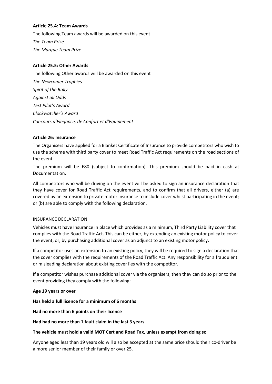#### Article 25.4: Team Awards

The following Team awards will be awarded on this event The Team Prize The Marque Team Prize

#### Article 25.5: Other Awards

The following Other awards will be awarded on this event The Newcomer Trophies Spirit of the Rally Against all Odds Test Pilot's Award Clockwatcher's Award Concours d'Elegance, de Confort et d'Equipement

#### Article 26: Insurance

The Organisers have applied for a Blanket Certificate of Insurance to provide competitors who wish to use the scheme with third party cover to meet Road Traffic Act requirements on the road sections of the event.

The premium will be £80 (subject to confirmation). This premium should be paid in cash at Documentation.

All competitors who will be driving on the event will be asked to sign an insurance declaration that they have cover for Road Traffic Act requirements, and to confirm that all drivers, either (a) are covered by an extension to private motor insurance to include cover whilst participating in the event; or (b) are able to comply with the following declaration.

#### INSURANCE DECLARATION

Vehicles must have Insurance in place which provides as a minimum, Third Party Liability cover that complies with the Road Traffic Act. This can be either, by extending an existing motor policy to cover the event, or, by purchasing additional cover as an adjunct to an existing motor policy.

If a competitor uses an extension to an existing policy, they will be required to sign a declaration that the cover complies with the requirements of the Road Traffic Act. Any responsibility for a fraudulent or misleading declaration about existing cover lies with the competitor.

If a competitor wishes purchase additional cover via the organisers, then they can do so prior to the event providing they comply with the following:

#### Age 19 years or over

Has held a full licence for a minimum of 6 months

Had no more than 6 points on their licence

Had had no more than 1 fault claim in the last 3 years

#### The vehicle must hold a valid MOT Cert and Road Tax, unless exempt from doing so

Anyone aged less than 19 years old will also be accepted at the same price should their co-driver be a more senior member of their family or over 25.